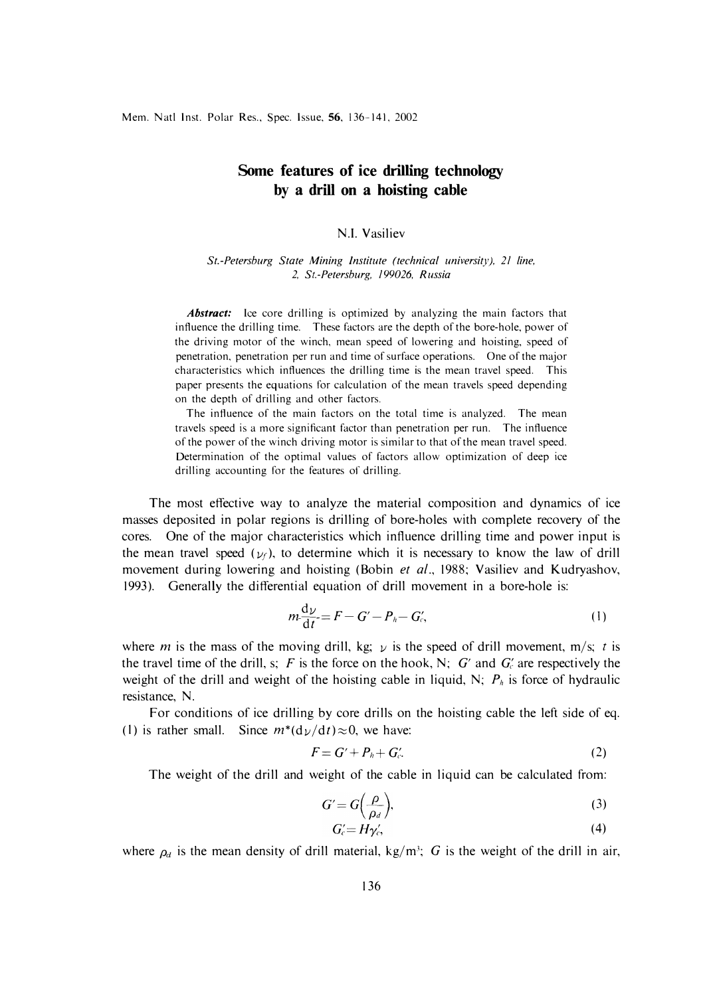## **Some features of ice drilling technology by a drill on a hoisting cable**

## N.I. Vasiliev

*St.-Petersburg State Mining Institute (technical university), 21 line, 2, St.-Petersburg, 199026, Russia* 

*Abstract:* lee core drilling is optimized by analyzing the main factors that influence the drilling time. These factors are the depth of the bore-hole, power of the driving motor of the winch, mean speed of lowering and hoisting, speed of penetration, penetration per run and time of surface operations. One of the major characteristics which influences the drilling time is the mean travel speed. This paper presents the equations for calculation of the mean travels speed depending on the depth of drilling and other factors.

The influence of the main factors on the total time is analyzed. The mean travels speed is a more significant factor than penetration per run. The influence of the power of the winch driving motor is similar to that of the mean travel speed. Determination of the optimal values of factors allow optimization of deep ice drilling accounting for the features of drilling.

The most effective way to analyze the material composition and dynamics of ice masses deposited in polar regions is drilling of bore-holes with complete recovery of the cores. One of the major characteristics which influence drilling time and power input is the mean travel speed ( $v_f$ ), to determine which it is necessary to know the law of drill movement during lowering and hoisting (Bobin *et al.,* 1988; Vasiliev and Kudryashov, 1993). Generally the differential equation of drill movement in a bore-hole is:

$$
m\frac{\mathrm{d}\nu}{\mathrm{d}t} = F - G' - P_h - G'_c,\tag{1}
$$

where *m* is the mass of the moving drill, kg;  $\nu$  is the speed of drill movement, m/s; *t* is the travel time of the drill, s; F is the force on the hook, N; G' and  $G_c'$  are respectively the weight of the drill and weight of the hoisting cable in liquid, N;  $P_h$  is force of hydraulic resistance, N.

For conditions of ice drilling by core drills on the hoisting cable the left side of eq. (1) is rather small. Since  $m^*(d\nu/dt)\approx 0$ , we have:

$$
F = G' + P_h + G'_c.
$$
 (2)

The weight of the drill and weight of the cable in liquid can be calculated from:

$$
G' = G\left(\frac{\rho}{\rho_d}\right),\tag{3}
$$

$$
G'_{c} = H\gamma'_{c},\tag{4}
$$

where  $\rho_d$  is the mean density of drill material, kg/m<sup>3</sup>; *G* is the weight of the drill in air,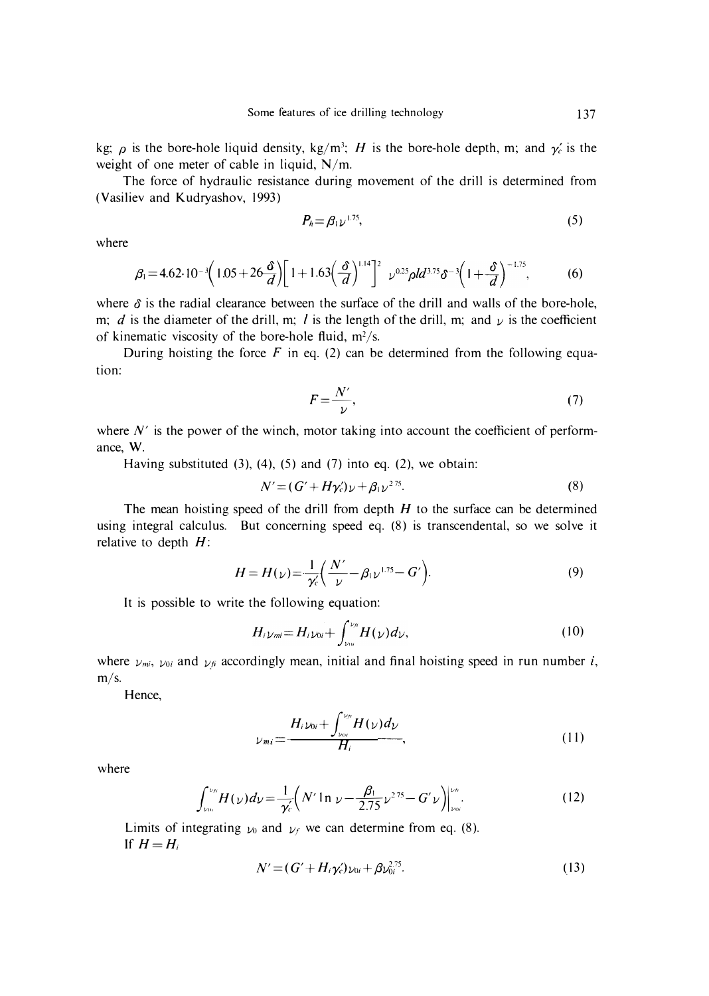kg;  $\rho$  is the bore-hole liquid density, kg/m<sup>3</sup>; H is the bore-hole depth, m; and  $\gamma_c$  is the weight of one meter of cable in liquid, N/m.

The force of hydraulic resistance during movement of the drill is determined from (Vasiliev and Kudryashov, 1993)

$$
P_h = \beta_1 \nu^{1.75},\tag{5}
$$

where

$$
\beta_1 = 4.62 \cdot 10^{-3} \left( 1.05 + 26 \frac{\delta}{d} \right) \left[ 1 + 1.63 \left( \frac{\delta}{d} \right)^{1.14} \right]^2 \nu^{0.25} \rho l d^{3.75} \delta^{-3} \left( 1 + \frac{\delta}{d} \right)^{-1.75}, \tag{6}
$$

where  $\delta$  is the radial clearance between the surface of the drill and walls of the bore-hole, m; d is the diameter of the drill, m; l is the length of the drill, m; and  $\nu$  is the coefficient of kinematic viscosity of the bore-hole fluid,  $m^2/s$ .

During hoisting the force  $F$  in eq. (2) can be determined from the following equation:

$$
F = \frac{N'}{\nu},\tag{7}
$$

where  $N'$  is the power of the winch, motor taking into account the coefficient of performance, W.

Having substituted  $(3)$ ,  $(4)$ ,  $(5)$  and  $(7)$  into eq.  $(2)$ , we obtain:

$$
N' = (G' + H\gamma_c')\nu + \beta_1\nu^{275}.
$$
\n(8)

The mean hoisting speed of the drill from depth *H* to the surface can be determined using integral calculus. But concerning speed eq. (8) is transcendental, so we solve it relative to depth  $H$ :

$$
H = H(\nu) = \frac{1}{\gamma_c'} \left( \frac{N'}{\nu} - \beta_1 \nu^{1.75} - G' \right).
$$
 (9)

It is possible to write the following equation:

$$
H_i \nu_{mi} = H_i \nu_{0i} + \int_{\nu_{0i}}^{\nu_{fi}} H(\nu) d\nu,
$$
\n(10)

where  $v_{mi}$ ,  $v_{0i}$  and  $v_{fi}$  accordingly mean, initial and final hoisting speed in run number *i*, m/s.

Hence,

$$
\nu_{mi} = \frac{H_i \nu_{0i} + \int_{\nu_{0i}}^{\nu_n} H(\nu) d\nu}{H_i},
$$
\n(11)

where

$$
\int_{\nu_{0i}}^{\nu_{\mu}} H(\nu) d\nu = \frac{1}{\gamma_c'} \Big( N' \ln \nu - \frac{\beta_1}{2.75} \nu^{275} - G' \nu \Big) \Big|_{\nu_{0i}}^{\nu_{\mu}}.
$$
 (12)

Limits of integrating  $\nu_0$  and  $\nu_f$  we can determine from eq. (8). If  $H=H_i$ 

$$
N' = (G' + H_i \gamma_c')_{\nu_{0i}} + \beta \nu_{0i}^{2.75}.
$$
 (13)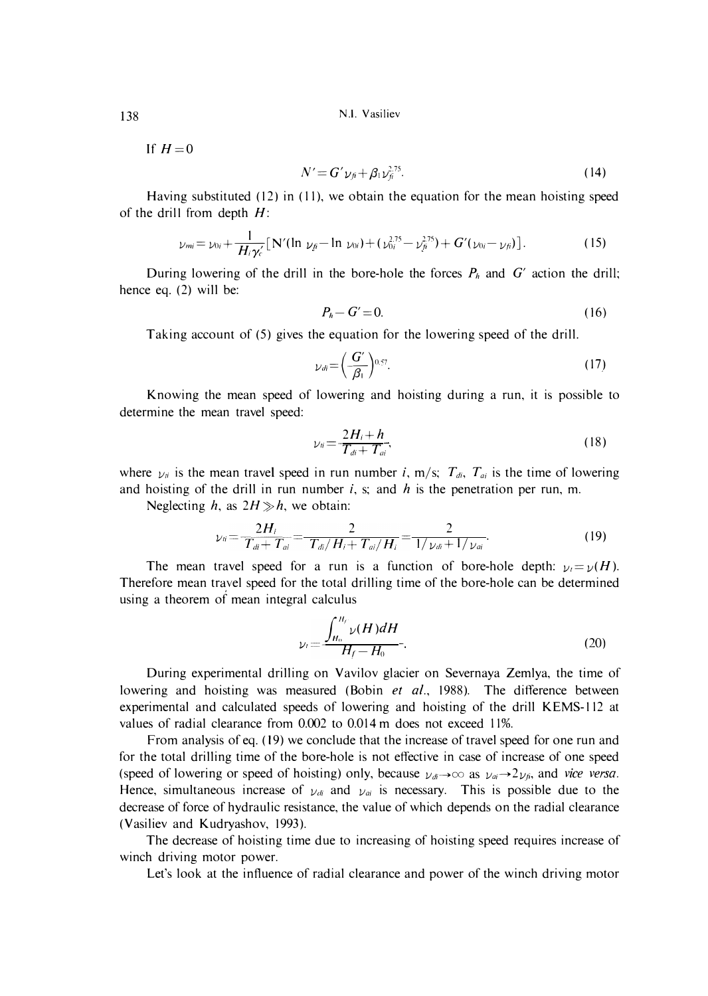N.I. Yasiliev

If  $H=0$ 

$$
N'=G'\nu_{f}+\beta_{1}\nu_{f}^{2.75}.\tag{14}
$$

Having substituted (12) in (11), we obtain the equation for the mean hoisting speed of the drill from depth  $H$ :

$$
\nu_{mi} = \nu_{0i} + \frac{1}{H_i \gamma_c'} [N'(ln \nu_f - ln \nu_{0i}) + (\nu_{0i}^{2.75} - \nu_{fi}^{2.75}) + G'(\nu_{0i} - \nu_{fi})]. \qquad (15)
$$

During lowering of the drill in the bore-hole the forces  $P_h$  and  $G'$  action the drill; hence eq. (2) will be:

$$
P_h - G' = 0. \tag{16}
$$

Taking account of (5) gives the equation for the lowering speed of the drill.

$$
\nu_{di} = \left(\frac{G'}{\beta_1}\right)^{0.57}.\tag{17}
$$

Knowing the mean speed of lowering and hoisting during a run, it is possible to determine the mean travel speed:

$$
\nu_{ii} = \frac{2H_i + h}{T_{di} + T_{ai}},\tag{18}
$$

where  $y_{ii}$  is the mean travel speed in run number i, m/s;  $T_{di}$ ,  $T_{ai}$  is the time of lowering and hoisting of the drill in run number  $i$ , s; and  $h$  is the penetration per run, m.

Neglecting h, as  $2H \gg h$ , we obtain:

$$
\nu_{ii} = \frac{2H_i}{T_{di} + T_{ai}} = \frac{2}{T_{di}/H_i + T_{ai}/H_i} = \frac{2}{1/\nu_{di} + 1/\nu_{ai}}.
$$
 (19)

The mean travel speed for a run is a function of bore-hole depth:  $y_1 = y(H)$ . Therefore mean trayel speed for the total drilling time of the bore-hole can be determined using a theorem of mean integral calculus<br>  $\int_{H_0}^{H_f} \nu$ 

$$
\nu_t = \frac{\int_{H_0}^{H_f} \nu(H) dH}{H_f - H_0}.
$$
\n(20)

During experimental drilling on Vavilov glacier on Severnaya Zemlya, the time of lowering and hoisting was measured (Bobin et al., 1988). The difference between experimental and calculated speeds of lowering and hoisting of the drill KEMS-112 at values of radial clearance from 0.002 to 0.014 m does not exceed 11%.

From analysis of eq. (19) we conclude that the increase of travel speed for one run and for the total drilling time of the bore-hole is not effective in case of increase of one speed (speed of lowering or speed of hoisting) only, because  $y_{di} \rightarrow \infty$  as  $y_{ai} \rightarrow 2y_{fi}$ , and *vice versa.* Hence, simultaneous increase of  $y_{di}$  and  $y_{ai}$  is necessary. This is possible due to the decrease of force of hydraulic resistance, the value of which depends on the radial clearance (Vasiliev and Kudryashov, 1993).

The decrease of hoisting time due to increasing of hoisting speed requires increase of winch driving motor power.

Let's look at the influence of radial clearance and power of the winch driving motor

138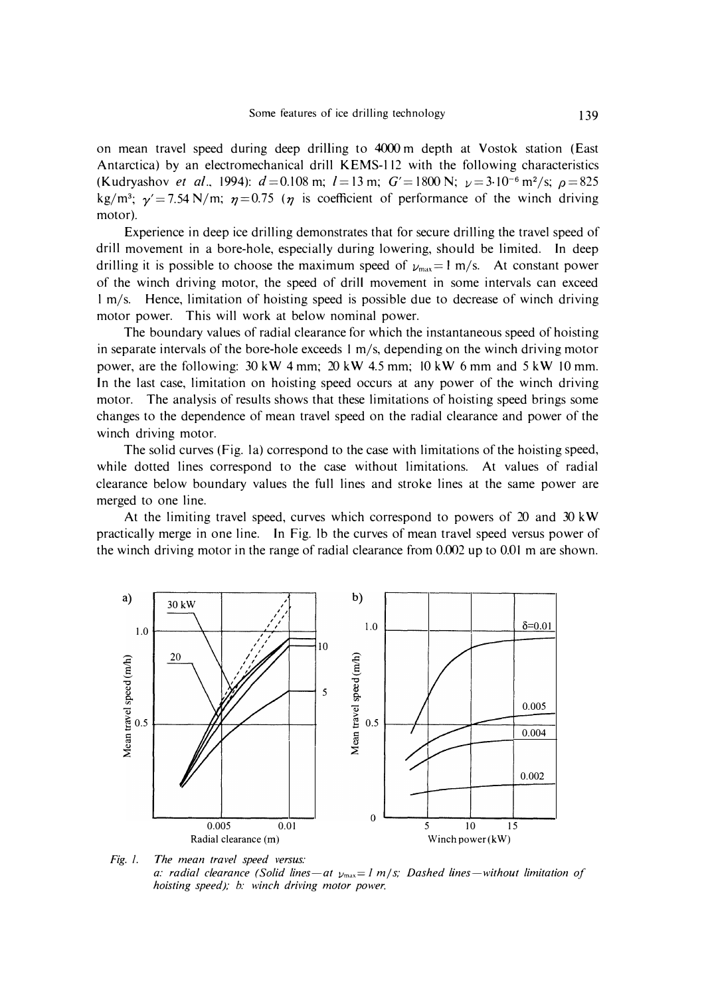on mean travel speed during deep drilling to 4000 m depth at Vostok station (East Antarctica) by an electromechanical drill KEMS-l 12 with the following characteristics (Kudryashov *et al.*, 1994):  $d = 0.108$  m;  $l = 13$  m;  $G' = 1800$  N;  $\nu = 3.10^{-6}$  m<sup>2</sup>/s;  $\rho = 825$ kg/m<sup>3</sup>;  $\gamma' = 7.54 \text{ N/m}$ ;  $\eta = 0.75$  ( $\eta$  is coefficient of performance of the winch driving motor).

Experience in deep ice drilling demonstrates that for secure drilling the travel speed of drill movement in a bore-hole, especially during lowering, should be limited. In deep drilling it is possible to choose the maximum speed of  $\nu_{max} = 1$  m/s. At constant power of the winch driving motor, the speed of drill movement in some intervals can exceed l m/s. Hence, limitation of hoisting speed is possible due to decrease of winch driving motor power. This will work at below nominal power.

The boundary values of radial clearance for which the instantaneous speed of hoisting in separate intervals of the bore-hole exceeds I m/s, depending on the winch driving motor power, are the following: 30 kW 4 mm; 20 kW 4.5 mm; 10 kW 6 mm and 5 kW IO mm. In the last case, limitation on hoisting speed occurs at any power of the winch driving motor. The analysis of results shows that these limitations of hoisting speed brings some changes to the dependence of mean travel speed on the radial clearance and power of the winch driving motor.

The solid curves (Fig. la) correspond to the case with limitations of the hoisting speed, while dotted lines correspond to the case without limitations. At values of radial clearance below boundary values the full lines and stroke lines at the same power are merged to one line.

At the limiting travel speed, curves which correspond to powers of 20 and 30 kW practically merge in one line. In Fig. lb the curves of mean travel speed versus power of the winch driving motor in the range of radial clearance from 0.002 up to 0.01 m are shown.



*Fig. 1. The mean travel speed versus: a: radial clearance (Solid lines-at* l./max **=** *1 m* / *s; Dashed lines-without limitation of hoisting speed); b: winch driving motor power.*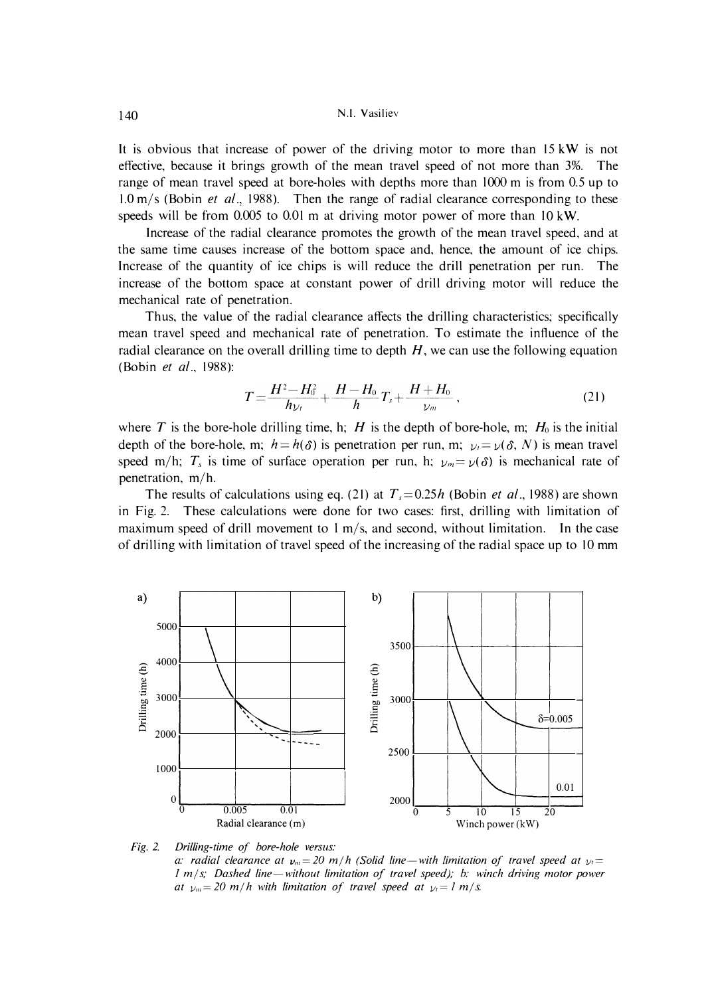It is obvious that increase of power of the driving motor to more than 15 kW is not effective, because it brings growth of the mean travel speed of not more than 3%. The range of mean travel speed at bore-holes with depths more than 1000 m is from 0.5 up to 1.0 m/s (Bobin *et al.,* 1988). Then the range of radial clearance corresponding to these speeds will be from 0.005 to 0.01 m at driving motor power of more than IO kW.

Increase of the radial clearance promotes the growth of the mean travel speed, and at the same time causes increase of the bottom space and, hence, the amount of ice chips. Increase of the quantity of ice chips is will reduce the drill penetration per run. The increase of the bottom space at constant power of drill driving motor will reduce the mechanical rate of penetration.

Thus, the value of the radial clearance affects the drilling characteristics; specifically mean travel speed and mechanical rate of penetration. To estimate the influence of the radial clearance on the overall drilling time to depth *H,* we can use the following equation (Bobin *et al.,* 1988):

$$
T = \frac{H^2 - H_0^2}{h_{\nu_t}} + \frac{H - H_0}{h} T_s + \frac{H + H_0}{\nu_m} \,,\tag{21}
$$

where *T* is the bore-hole drilling time, h; *H* is the depth of bore-hole, m;  $H_0$  is the initial depth of the bore-hole, m;  $h = h(\delta)$  is penetration per run, m;  $v_i = v(\delta, N)$  is mean travel speed m/h;  $T_s$  is time of surface operation per run, h;  $y_m = \gamma(\delta)$  is mechanical rate of penetration, m/h.

The results of calculations using eq. (21) at  $T_s = 0.25h$  (Bobin *et al.*, 1988) are shown in Fig. 2. These calculations were done for two cases: first, drilling with limitation of maximum speed of drill movement to  $1 \text{ m/s}$ , and second, without limitation. In the case of drilling with limitation of travel speed of the increasing of the radial space up to 10 mm



*a: radial clearance at*  $v_m = 20$  *m/h (Solid line—with limitation of travel speed at*  $v_t =$ *l* m/s; Dashed line—without limitation of travel speed); b: winch driving motor power *at*  $v_m = 20$  *m*/*h* with limitation of travel speed at  $v_i = 1$  *m*/*s.*